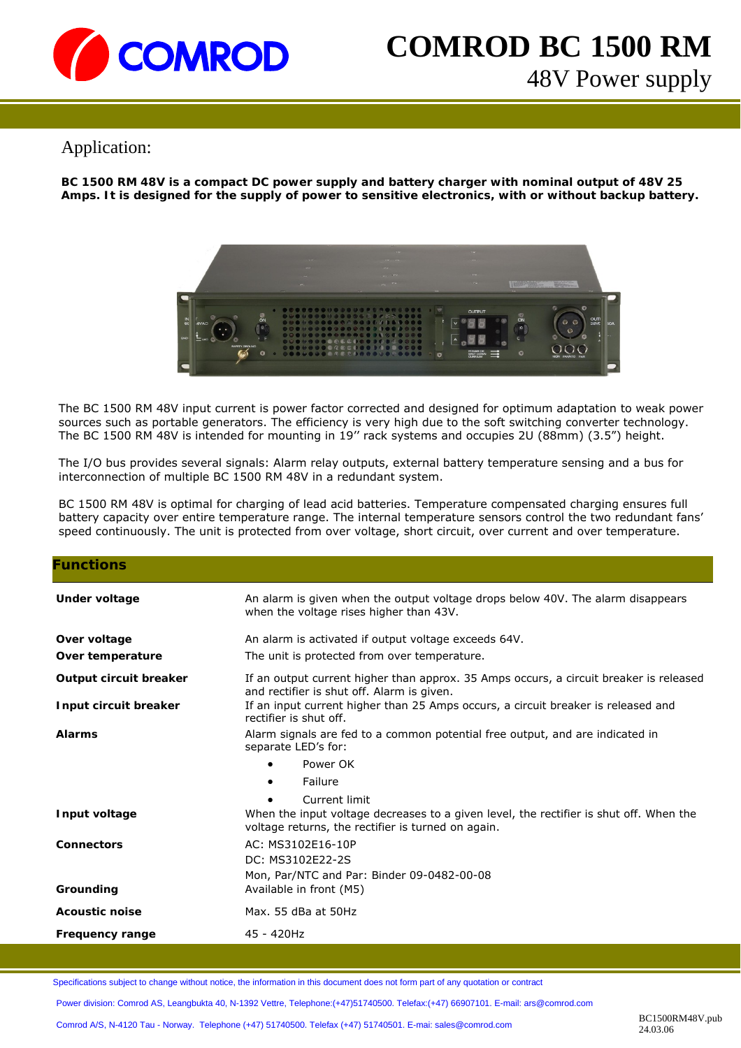

# **COMROD BC 1500 RM**  48V Power supply

## Application:

**BC 1500 RM 48V is a compact DC power supply and battery charger with nominal output of 48V 25 Amps. It is designed for the supply of power to sensitive electronics, with or without backup battery.** 



The BC 1500 RM 48V input current is power factor corrected and designed for optimum adaptation to weak power sources such as portable generators. The efficiency is very high due to the soft switching converter technology. The BC 1500 RM 48V is intended for mounting in 19'' rack systems and occupies 2U (88mm) (3.5") height.

The I/O bus provides several signals: Alarm relay outputs, external battery temperature sensing and a bus for interconnection of multiple BC 1500 RM 48V in a redundant system.

BC 1500 RM 48V is optimal for charging of lead acid batteries. Temperature compensated charging ensures full battery capacity over entire temperature range. The internal temperature sensors control the two redundant fans' speed continuously. The unit is protected from over voltage, short circuit, over current and over temperature.

| <b>Functions</b>       |                                                                                                                                              |
|------------------------|----------------------------------------------------------------------------------------------------------------------------------------------|
| Under voltage          | An alarm is given when the output voltage drops below 40V. The alarm disappears<br>when the voltage rises higher than 43V.                   |
| Over voltage           | An alarm is activated if output voltage exceeds 64V.                                                                                         |
| Over temperature       | The unit is protected from over temperature.                                                                                                 |
| Output circuit breaker | If an output current higher than approx. 35 Amps occurs, a circuit breaker is released<br>and rectifier is shut off. Alarm is given.         |
| Input circuit breaker  | If an input current higher than 25 Amps occurs, a circuit breaker is released and<br>rectifier is shut off.                                  |
| <b>Alarms</b>          | Alarm signals are fed to a common potential free output, and are indicated in<br>separate LED's for:                                         |
|                        | Power OK                                                                                                                                     |
|                        | Failure<br>$\bullet$                                                                                                                         |
|                        | Current limit                                                                                                                                |
| Input voltage          | When the input voltage decreases to a given level, the rectifier is shut off. When the<br>voltage returns, the rectifier is turned on again. |
| <b>Connectors</b>      | AC: MS3102E16-10P                                                                                                                            |
|                        | DC: MS3102E22-2S                                                                                                                             |
|                        |                                                                                                                                              |
|                        | Mon, Par/NTC and Par: Binder 09-0482-00-08                                                                                                   |
| Grounding              | Available in front (M5)                                                                                                                      |
| <b>Acoustic noise</b>  | Max. 55 dBa at 50Hz                                                                                                                          |
| Frequency range        | 45 - 420Hz                                                                                                                                   |

Specifications subject to change without notice, the information in this document does not form part of any quotation or contract

Power division: Comrod AS, Leangbukta 40, N-1392 Vettre, Telephone:(+47)51740500. Telefax:(+47) 66907101. E-mail: ars@comrod.com

Comrod A/S, N-4120 Tau - Norway. Telephone (+47) 51740500. Telefax (+47) 51740501. E-mai: sales@comrod.com